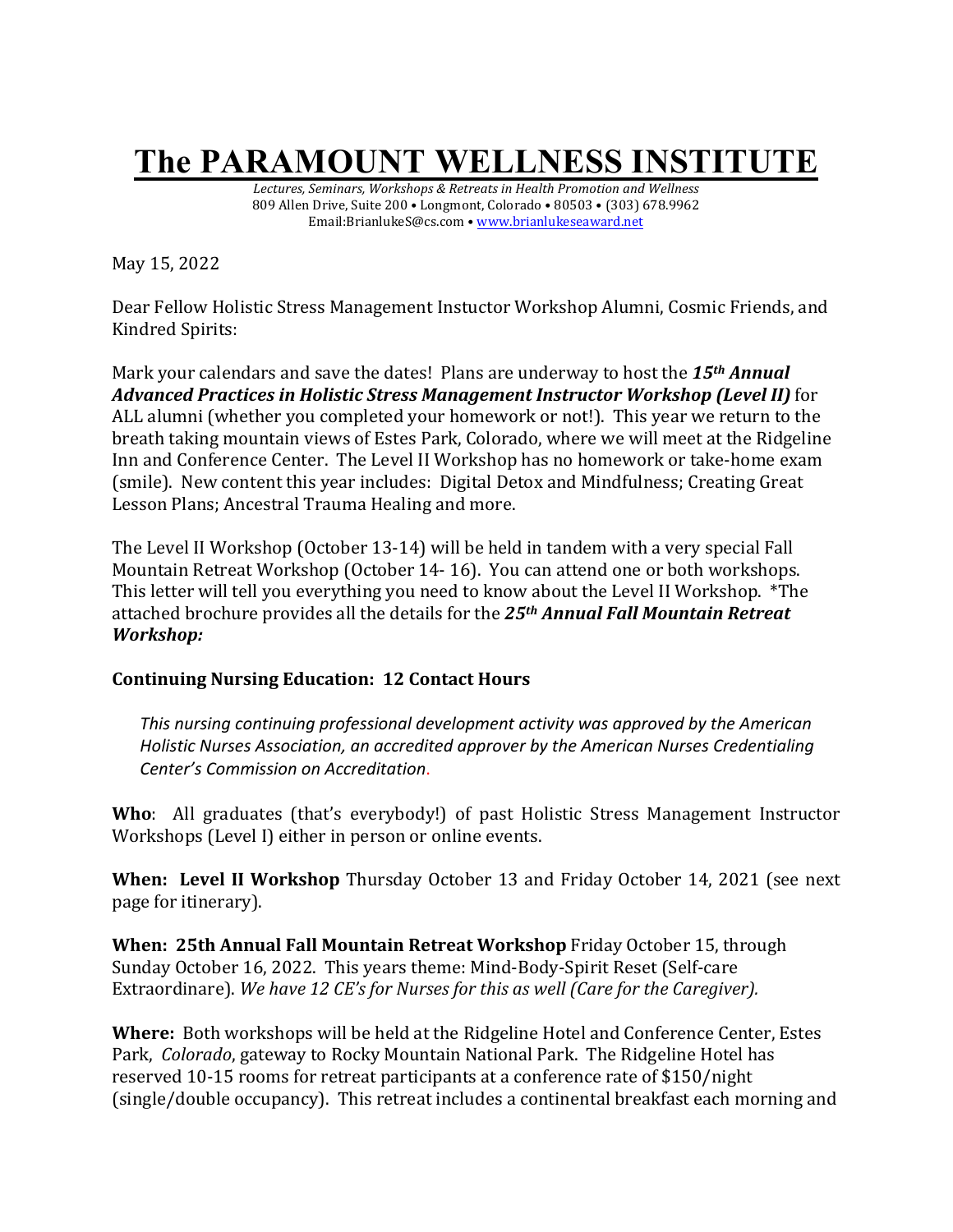# **The PARAMOUNT WELLNESS INSTITUTE**

Lectures, Seminars, Workshops & Retreats in Health Promotion and Wellness 809 Allen Drive, Suite 200 • Longmont, Colorado • 80503 • (303) 678.9962 Email:BrianlukeS@cs.com • www.brianlukeseaward.net

May 15, 2022

Dear Fellow Holistic Stress Management Instuctor Workshop Alumni, Cosmic Friends, and Kindred Spirits:

Mark your calendars and save the dates! Plans are underway to host the 15<sup>th</sup> Annual *Advanced Practices in Holistic Stress Management Instructor Workshop (Level II)* for ALL alumni (whether you completed your homework or not!). This year we return to the breath taking mountain views of Estes Park, Colorado, where we will meet at the Ridgeline Inn and Conference Center. The Level II Workshop has no homework or take-home exam (smile). New content this year includes: Digital Detox and Mindfulness; Creating Great Lesson Plans; Ancestral Trauma Healing and more.

The Level II Workshop (October 13-14) will be held in tandem with a very special Fall Mountain Retreat Workshop (October 14- 16). You can attend one or both workshops. This letter will tell you everything you need to know about the Level II Workshop. \*The attached brochure provides all the details for the 25<sup>th</sup> *Annual Fall Mountain Retreat Workshop:* 

# **Continuing Nursing Education: 12 Contact Hours**

This nursing continuing professional development activity was approved by the American Holistic Nurses Association, an accredited approver by the American Nurses Credentialing *Center's Commission on Accreditation*.

**Who**: All graduates (that's everybody!) of past Holistic Stress Management Instructor Workshops (Level I) either in person or online events.

**When: Level II Workshop** Thursday October 13 and Friday October 14, 2021 (see next page for itinerary).

**When: 25th Annual Fall Mountain Retreat Workshop Friday October 15, through** Sunday October 16, 2022. This years theme: Mind-Body-Spirit Reset (Self-care Extraordinare). We have 12 CE's for Nurses for this as well (Care for the Caregiver).

**Where:** Both workshops will be held at the Ridgeline Hotel and Conference Center, Estes Park, *Colorado*, gateway to Rocky Mountain National Park. The Ridgeline Hotel has reserved 10-15 rooms for retreat participants at a conference rate of \$150/night (single/double occupancy). This retreat includes a continental breakfast each morning and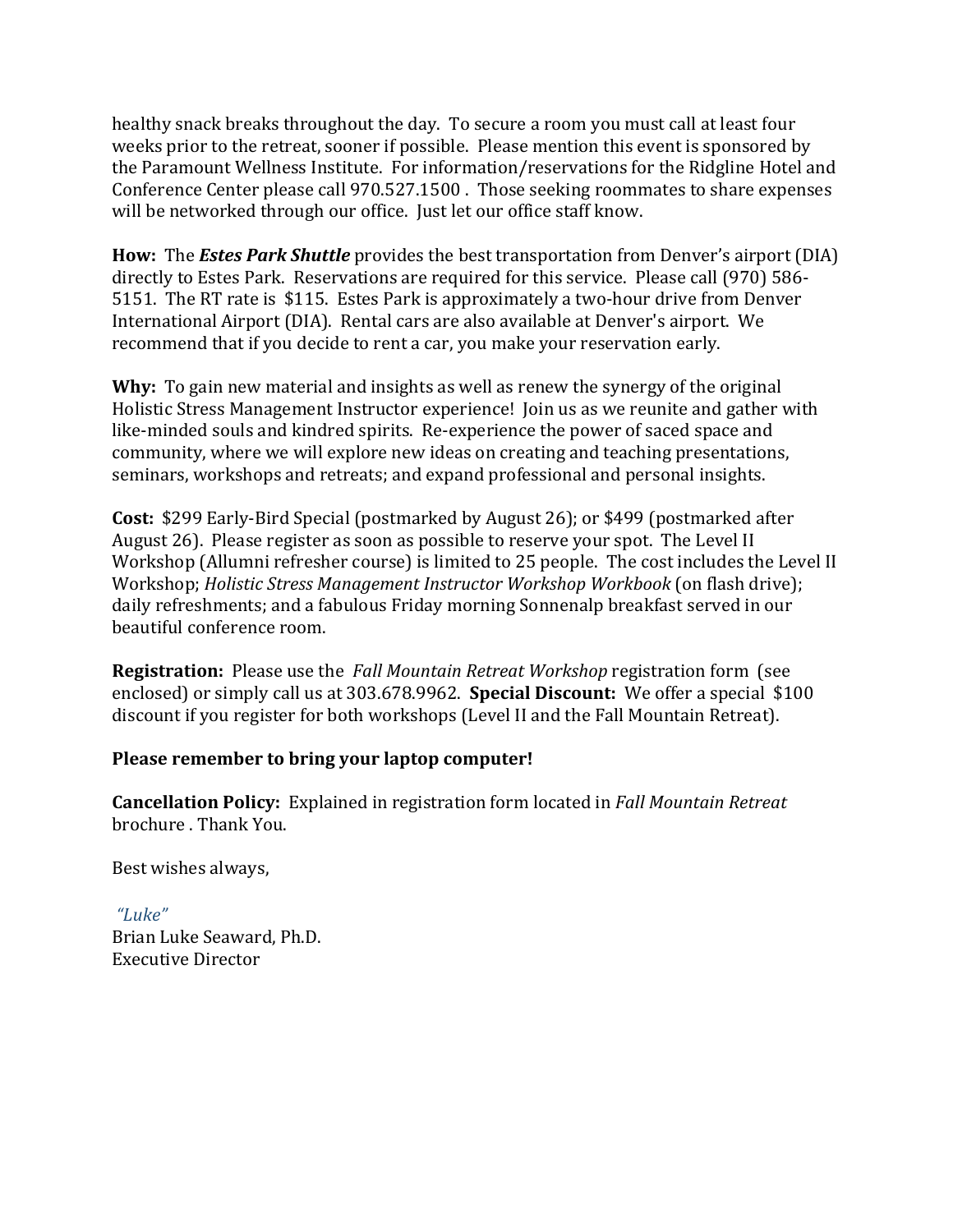healthy snack breaks throughout the day. To secure a room you must call at least four weeks prior to the retreat, sooner if possible. Please mention this event is sponsored by the Paramount Wellness Institute. For information/reservations for the Ridgline Hotel and Conference Center please call 970.527.1500 . Those seeking roommates to share expenses will be networked through our office. Just let our office staff know.

**How:** The *Estes Park Shuttle* provides the best transportation from Denver's airport (DIA) directly to Estes Park. Reservations are required for this service. Please call (970) 586-5151. The RT rate is \$115. Estes Park is approximately a two-hour drive from Denver International Airport (DIA). Rental cars are also available at Denver's airport. We recommend that if you decide to rent a car, you make your reservation early.

**Why:** To gain new material and insights as well as renew the synergy of the original Holistic Stress Management Instructor experience! Join us as we reunite and gather with like-minded souls and kindred spirits. Re-experience the power of saced space and community, where we will explore new ideas on creating and teaching presentations, seminars, workshops and retreats; and expand professional and personal insights.

**Cost:** \$299 Early-Bird Special (postmarked by August 26); or \$499 (postmarked after August 26). Please register as soon as possible to reserve your spot. The Level II Workshop (Allumni refresher course) is limited to 25 people. The cost includes the Level II Workshop; *Holistic Stress Management Instructor Workshop Workbook* (on flash drive); daily refreshments; and a fabulous Friday morning Sonnenalp breakfast served in our beautiful conference room.

**Registration:** Please use the *Fall Mountain Retreat Workshop* registration form (see enclosed) or simply call us at 303.678.9962. **Special Discount:** We offer a special \$100 discount if you register for both workshops (Level II and the Fall Mountain Retreat).

# Please remember to bring your laptop computer!

**Cancellation Policy:** Explained in registration form located in *Fall Mountain Retreat* brochure . Thank You.

Best wishes always,

*"Luke"* Brian Luke Seaward, Ph.D. Executive Director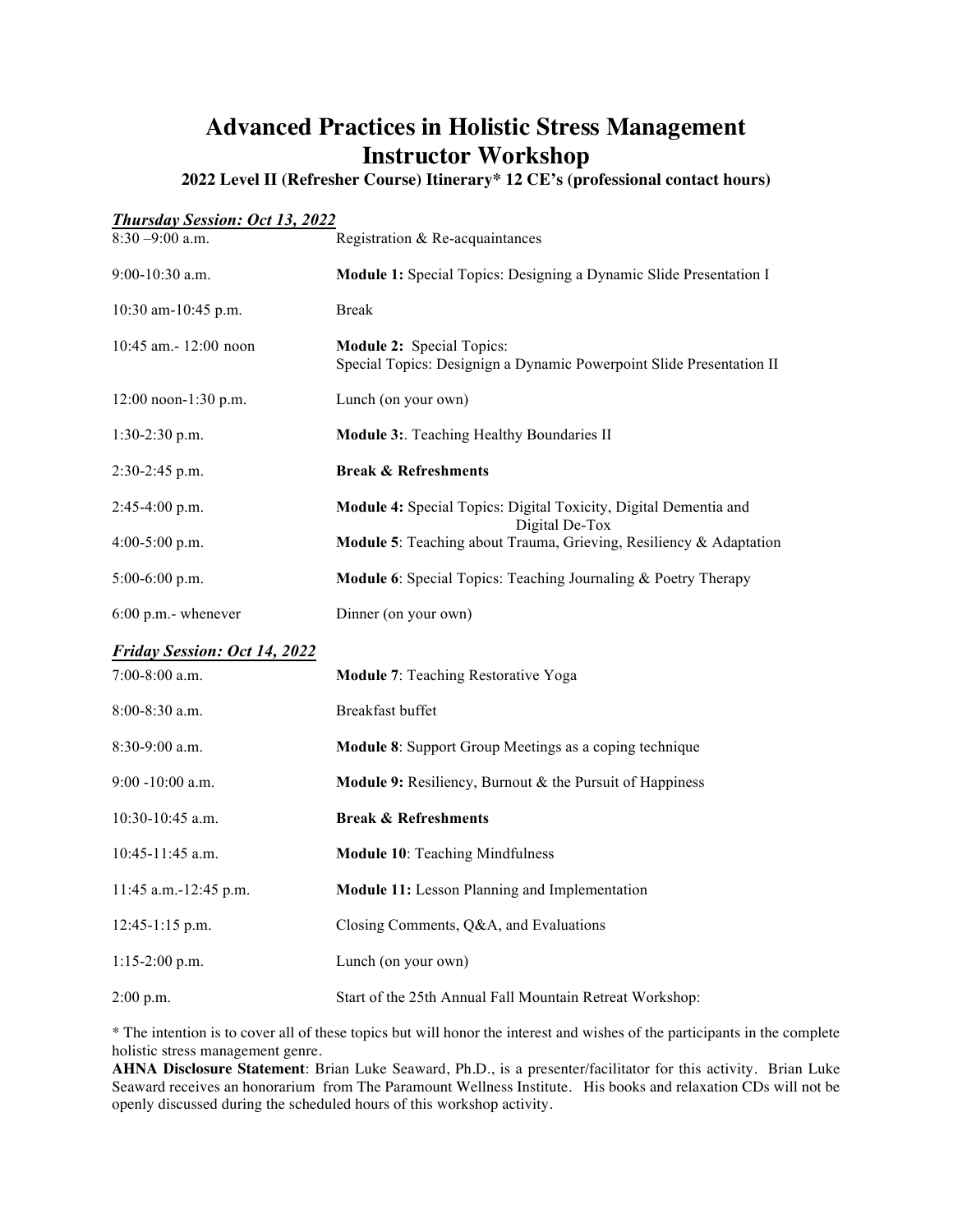# **Advanced Practices in Holistic Stress Management Instructor Workshop**

**2022 Level II (Refresher Course) Itinerary\* 12 CE's (professional contact hours)**

| <b>Thursday Session: Oct 13, 2022</b> |                                                                                                          |  |  |
|---------------------------------------|----------------------------------------------------------------------------------------------------------|--|--|
| $8:30 - 9:00$ a.m.                    | Registration & Re-acquaintances                                                                          |  |  |
| 9:00-10:30 a.m.                       | Module 1: Special Topics: Designing a Dynamic Slide Presentation I                                       |  |  |
| 10:30 am-10:45 p.m.                   | <b>Break</b>                                                                                             |  |  |
| $10:45$ am. $-12:00$ noon             | <b>Module 2: Special Topics:</b><br>Special Topics: Designign a Dynamic Powerpoint Slide Presentation II |  |  |
| 12:00 noon-1:30 p.m.                  | Lunch (on your own)                                                                                      |  |  |
| 1:30-2:30 p.m.                        | Module 3: Teaching Healthy Boundaries II                                                                 |  |  |
| 2:30-2:45 p.m.                        | <b>Break &amp; Refreshments</b>                                                                          |  |  |
| $2:45-4:00$ p.m.                      | Module 4: Special Topics: Digital Toxicity, Digital Dementia and<br>Digital De-Tox                       |  |  |
| $4:00-5:00$ p.m.                      | Module 5: Teaching about Trauma, Grieving, Resiliency & Adaptation                                       |  |  |
| $5:00-6:00$ p.m.                      | <b>Module 6:</b> Special Topics: Teaching Journaling & Poetry Therapy                                    |  |  |
| $6:00$ p.m.- whenever                 | Dinner (on your own)                                                                                     |  |  |
| <b>Friday Session: Oct 14, 2022</b>   |                                                                                                          |  |  |
| $7:00-8:00$ a.m.                      | Module 7: Teaching Restorative Yoga                                                                      |  |  |
| 8:00-8:30 a.m.                        | Breakfast buffet                                                                                         |  |  |
| 8:30-9:00 a.m.                        | Module 8: Support Group Meetings as a coping technique                                                   |  |  |
| $9:00 - 10:00$ a.m.                   | Module 9: Resiliency, Burnout & the Pursuit of Happiness                                                 |  |  |
| $10:30-10:45$ a.m.                    | <b>Break &amp; Refreshments</b>                                                                          |  |  |
| $10:45-11:45$ a.m.                    | <b>Module 10: Teaching Mindfulness</b>                                                                   |  |  |
| 11:45 a.m.-12:45 p.m.                 | Module 11: Lesson Planning and Implementation                                                            |  |  |
| $12:45-1:15$ p.m.                     | Closing Comments, Q&A, and Evaluations                                                                   |  |  |
| $1:15-2:00$ p.m.                      | Lunch (on your own)                                                                                      |  |  |
| $2:00$ p.m.                           | Start of the 25th Annual Fall Mountain Retreat Workshop:                                                 |  |  |

\* The intention is to cover all of these topics but will honor the interest and wishes of the participants in the complete holistic stress management genre.

**AHNA Disclosure Statement**: Brian Luke Seaward, Ph.D., is a presenter/facilitator for this activity. Brian Luke Seaward receives an honorarium from The Paramount Wellness Institute. His books and relaxation CDs will not be openly discussed during the scheduled hours of this workshop activity.